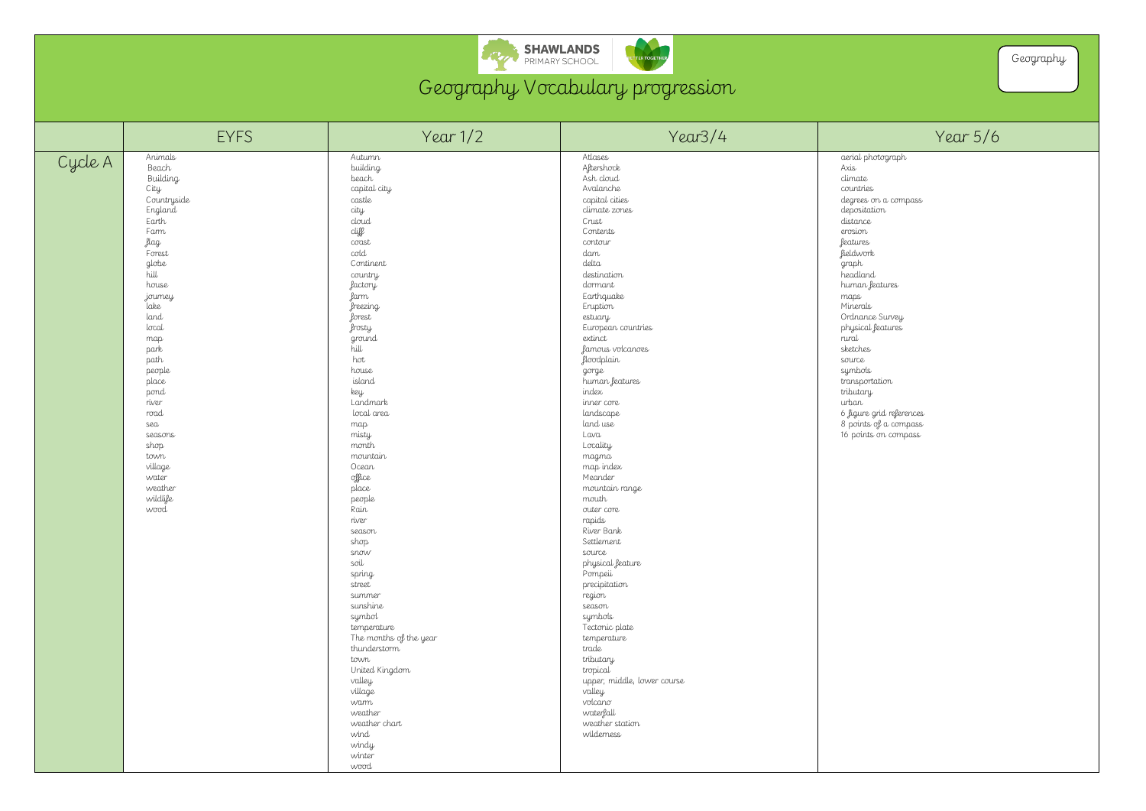

Geography Vocabulary progression

|         | <b>EYFS</b>                                                                                                                                                                                                                                                                                                                    | Year 1/2                                                                                                                                                                                                                                                                                                                                                                                                                                                                                                                                                                                                                                             | Year3/4                                                                                                                                                                                                                                                                                                                                                                                                                                                                                                                                                                                                                                                                                                                                                  | Year 5/6                                                                                                                                                                                                                                                                                                                                                                                                           |
|---------|--------------------------------------------------------------------------------------------------------------------------------------------------------------------------------------------------------------------------------------------------------------------------------------------------------------------------------|------------------------------------------------------------------------------------------------------------------------------------------------------------------------------------------------------------------------------------------------------------------------------------------------------------------------------------------------------------------------------------------------------------------------------------------------------------------------------------------------------------------------------------------------------------------------------------------------------------------------------------------------------|----------------------------------------------------------------------------------------------------------------------------------------------------------------------------------------------------------------------------------------------------------------------------------------------------------------------------------------------------------------------------------------------------------------------------------------------------------------------------------------------------------------------------------------------------------------------------------------------------------------------------------------------------------------------------------------------------------------------------------------------------------|--------------------------------------------------------------------------------------------------------------------------------------------------------------------------------------------------------------------------------------------------------------------------------------------------------------------------------------------------------------------------------------------------------------------|
| Cycle A | Animals<br>Beach<br><b>Building</b><br>City<br>Countryside<br>England<br>Earth<br>Farm<br>flag<br>Forest<br>globe<br>hill<br>house<br>journey<br>Lake<br>land<br>local<br>map<br>park<br>path<br>people<br>place<br>pond<br>river<br>road<br>sea<br>seasons<br>shop<br>town<br>village<br>water<br>weather<br>wildlife<br>wood | Autumn<br>building<br>beach<br>capital city<br>castle<br>city<br>$d$ oud<br>cliff<br>$\cos t$<br>$\text{cod}$<br>Continent<br>country<br><i>factory</i><br>farm<br>greezing<br>forest<br><i>frosty</i><br>ground<br>hill<br>hot<br>house<br>island<br>key<br>Landmark<br>local area<br>map<br>misty<br>month<br>mountain<br>Ocean<br>office<br>place<br>people<br>Rain<br>river<br>season<br>shop<br>snow<br>soil<br>spring<br>street<br>summer<br>sunshine<br>symbol<br>temperature<br>The months of the year<br>thunderstorm<br>town<br>United Kingdom<br>valley<br>village<br>warm<br>weather<br>weather chart<br>wind<br>windy<br>winter<br>wood | Atlases<br>Altershock<br>Ash cloud<br>Avalanche<br>capital cities<br>climate zones<br>Crust<br>Contents<br>contour<br>dam<br>delta<br>destination<br>dormant<br>Earthquake<br>Eruption<br>estuary<br>European countries<br>extinct<br>famous volcanoes<br><i>floodplain</i><br>gorge<br>human features<br>index<br>inner core<br>landscape<br>land use<br>Lava<br>Locality<br>magma<br>map index<br>Meander<br>mountain range<br>mouth<br>outer core<br>rapids<br>River Bank<br>Settlement<br>source<br>physical feature<br>Pompeii<br>precipitation<br>region<br>season<br>symbols<br>Tectonic plate<br>temperature<br>trade<br>tributary<br>tropical<br>upper, middle, lower course<br>valley<br>volcano<br>waterfall<br>weather station<br>wilderness | aerial photograph<br>Axis<br>climate<br>countries<br>degrees on a compass<br>depositation<br>distance<br>erosion<br><b>features</b><br>fieldwork<br>graph<br>headland<br>human features<br>maps<br>Minerals<br>Ordnance Survey<br>physical features<br>rural<br>sketches<br>source<br>symbols<br>transportation<br>tributary<br>urban<br>6 figure grid references<br>8 points of a compass<br>16 points on compass |

## hotograph